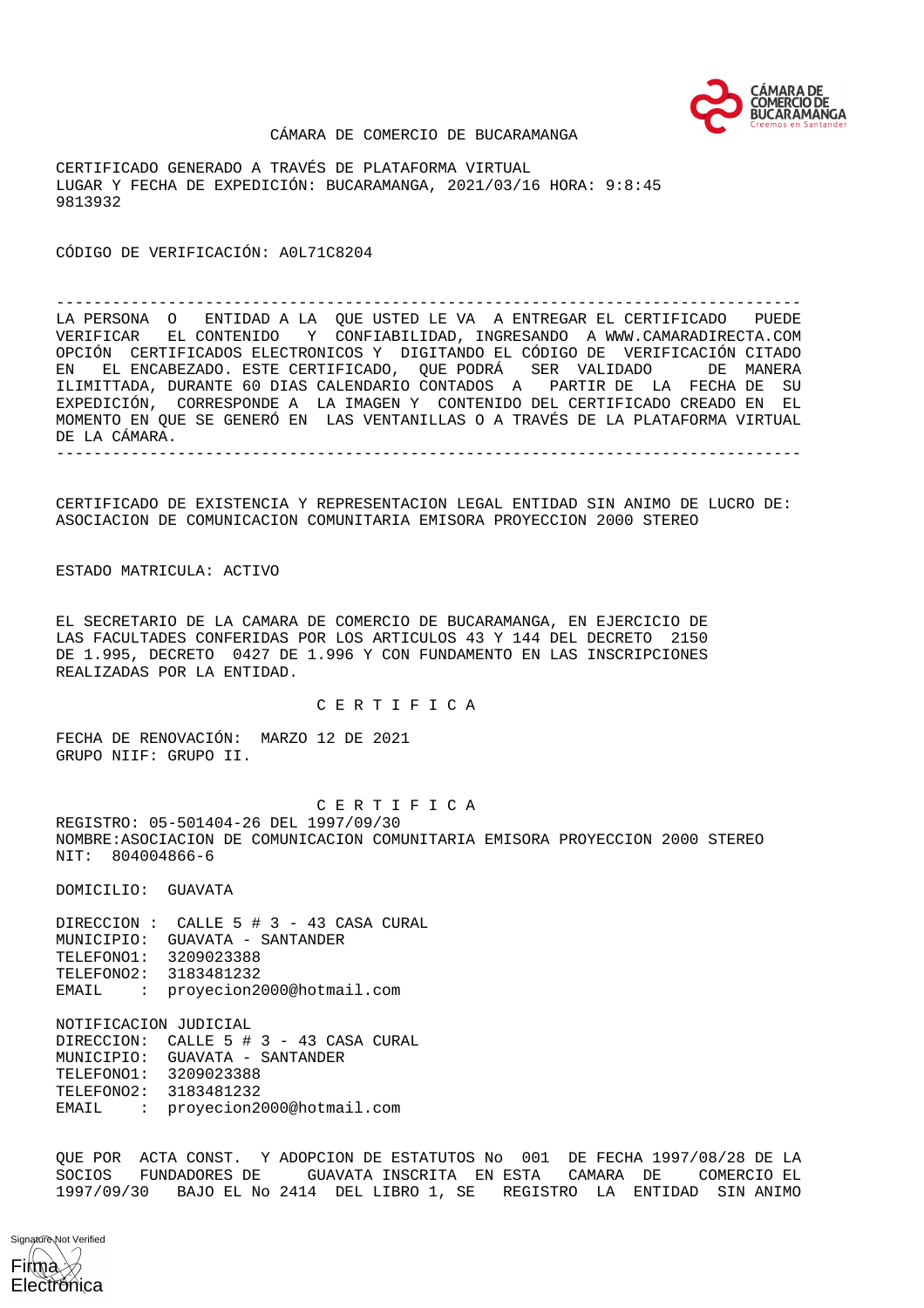

#### CÁMARA DE COMERCIO DE BUCARAMANGA

CERTIFICADO GENERADO A TRAVÉS DE PLATAFORMA VIRTUAL LUGAR Y FECHA DE EXPEDICIÓN: BUCARAMANGA, 2021/03/16 HORA: 9:8:45 9813932

CÓDIGO DE VERIFICACIÓN: A0L71C8204

-------------------------------------------------------------------------------- LA PERSONA O ENTIDAD A LA QUE USTED LE VA A ENTREGAR EL CERTIFICADO PUEDE VERIFICAR EL CONTENIDO Y CONFIABILIDAD, INGRESANDO A WWW.CAMARADIRECTA.COM OPCIÓN CERTIFICADOS ELECTRONICOS Y DIGITANDO EL CÓDIGO DE VERIFICACIÓN CITADO EN EL ENCABEZADO. ESTE CERTIFICADO, QUE PODRÁ SER VALIDADO DE MANERA ILIMITTADA, DURANTE 60 DIAS CALENDARIO CONTADOS A PARTIR DE LA FECHA DE SU EXPEDICIÓN, CORRESPONDE A LA IMAGEN Y CONTENIDO DEL CERTIFICADO CREADO EN EL MOMENTO EN QUE SE GENERÓ EN LAS VENTANILLAS O A TRAVÉS DE LA PLATAFORMA VIRTUAL DE LA CÁMARA. --------------------------------------------------------------------------------

CERTIFICADO DE EXISTENCIA Y REPRESENTACION LEGAL ENTIDAD SIN ANIMO DE LUCRO DE: ASOCIACION DE COMUNICACION COMUNITARIA EMISORA PROYECCION 2000 STEREO

ESTADO MATRICULA: ACTIVO

EL SECRETARIO DE LA CAMARA DE COMERCIO DE BUCARAMANGA, EN EJERCICIO DE LAS FACULTADES CONFERIDAS POR LOS ARTICULOS 43 Y 144 DEL DECRETO 2150 DE 1.995, DECRETO 0427 DE 1.996 Y CON FUNDAMENTO EN LAS INSCRIPCIONES REALIZADAS POR LA ENTIDAD.

C E R T I F I C A

FECHA DE RENOVACIÓN: MARZO 12 DE 2021 GRUPO NIIF: GRUPO II.

 C E R T I F I C A REGISTRO: 05-501404-26 DEL 1997/09/30 NOMBRE:ASOCIACION DE COMUNICACION COMUNITARIA EMISORA PROYECCION 2000 STEREO NIT: 804004866-6

DOMICILIO: GUAVATA

DIRECCION : CALLE 5 # 3 - 43 CASA CURAL MUNICIPIO: GUAVATA - SANTANDER TELEFONO1: 3209023388 TELEFONO2: 3183481232 EMAIL : proyecion2000@hotmail.com

NOTIFICACION JUDICIAL

DIRECCION: CALLE 5 # 3 - 43 CASA CURAL MUNICIPIO: GUAVATA - SANTANDER TELEFONO1: 3209023388 TELEFONO2: 3183481232 EMAIL : proyecion2000@hotmail.com

QUE POR ACTA CONST. Y ADOPCION DE ESTATUTOS No 001 DE FECHA 1997/08/28 DE LA SOCIOS FUNDADORES DE GUAVATA INSCRITA EN ESTA CAMARA DE COMERCIO EL 1997/09/30 BAJO EL No 2414 DEL LIBRO 1, SE REGISTRO LA ENTIDAD SIN ANIMO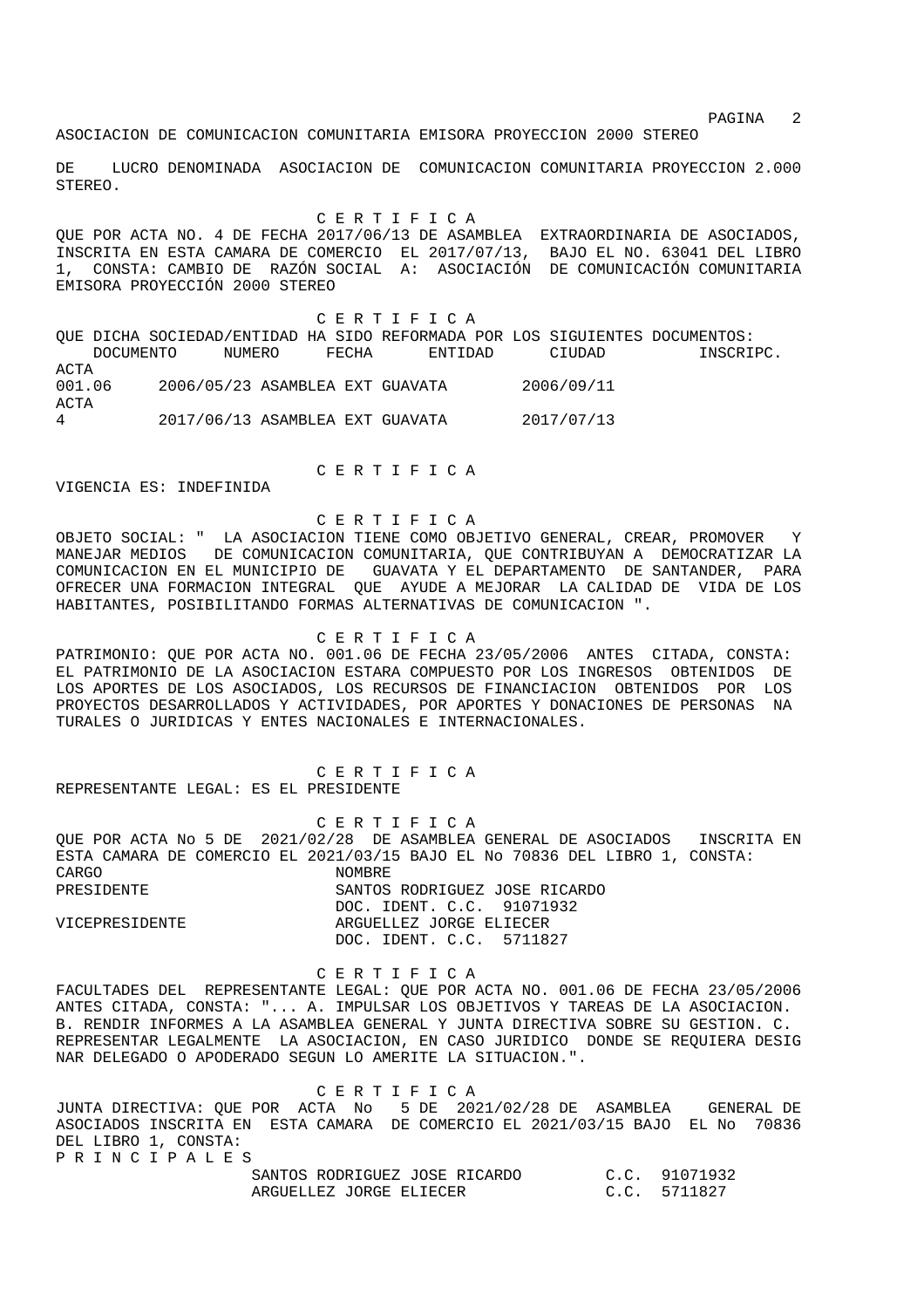experiment of the state of the state of the state of the state  $2$ 

ASOCIACION DE COMUNICACION COMUNITARIA EMISORA PROYECCION 2000 STEREO

DE LUCRO DENOMINADA ASOCIACION DE COMUNICACION COMUNITARIA PROYECCION 2.000 STEREO.

C E R T I F I C A

QUE POR ACTA NO. 4 DE FECHA 2017/06/13 DE ASAMBLEA EXTRAORDINARIA DE ASOCIADOS, INSCRITA EN ESTA CAMARA DE COMERCIO EL 2017/07/13, BAJO EL NO. 63041 DEL LIBRO 1, CONSTA: CAMBIO DE RAZÓN SOCIAL A: ASOCIACIÓN DE COMUNICACIÓN COMUNITARIA EMISORA PROYECCIÓN 2000 STEREO

 C E R T I F I C A QUE DICHA SOCIEDAD/ENTIDAD HA SIDO REFORMADA POR LOS SIGUIENTES DOCUMENTOS: DOCUMENTO NUMERO FECHA ENTIDAD CIUDAD INSCRIPC. ACTA 001.06 2006/05/23 ASAMBLEA EXT GUAVATA 2006/09/11 ACTA 4 2017/06/13 ASAMBLEA EXT GUAVATA 2017/07/13

C E R T I F I C A

VIGENCIA ES: INDEFINIDA

## C E R T I F I C A

OBJETO SOCIAL: " LA ASOCIACION TIENE COMO OBJETIVO GENERAL, CREAR, PROMOVER Y MANEJAR MEDIOS DE COMUNICACION COMUNITARIA, QUE CONTRIBUYAN A DEMOCRATIZAR LA COMUNICACION EN EL MUNICIPIO DE GUAVATA Y EL DEPARTAMENTO DE SANTANDER, PARA OFRECER UNA FORMACION INTEGRAL QUE AYUDE A MEJORAR LA CALIDAD DE VIDA DE LOS HABITANTES, POSIBILITANDO FORMAS ALTERNATIVAS DE COMUNICACION ".

## C E R T I F I C A

PATRIMONIO: QUE POR ACTA NO. 001.06 DE FECHA 23/05/2006 ANTES CITADA, CONSTA: EL PATRIMONIO DE LA ASOCIACION ESTARA COMPUESTO POR LOS INGRESOS OBTENIDOS DE LOS APORTES DE LOS ASOCIADOS, LOS RECURSOS DE FINANCIACION OBTENIDOS POR LOS PROYECTOS DESARROLLADOS Y ACTIVIDADES, POR APORTES Y DONACIONES DE PERSONAS NA TURALES O JURIDICAS Y ENTES NACIONALES E INTERNACIONALES.

 C E R T I F I C A REPRESENTANTE LEGAL: ES EL PRESIDENTE

 C E R T I F I C A QUE POR ACTA No 5 DE 2021/02/28 DE ASAMBLEA GENERAL DE ASOCIADOS INSCRITA EN ESTA CAMARA DE COMERCIO EL 2021/03/15 BAJO EL No 70836 DEL LIBRO 1, CONSTA:<br>CARGO NOMBRE. PRESIDENTE SANTOS RODRIGUEZ JOSE RICARDO DOC. IDENT. C.C. 91071932 VICEPRESIDENTE ARGUELLEZ JORGE ELIECER DOC. IDENT. C.C. 5711827

 C E R T I F I C A FACULTADES DEL REPRESENTANTE LEGAL: QUE POR ACTA NO. 001.06 DE FECHA 23/05/2006 ANTES CITADA, CONSTA: "... A. IMPULSAR LOS OBJETIVOS Y TAREAS DE LA ASOCIACION. B. RENDIR INFORMES A LA ASAMBLEA GENERAL Y JUNTA DIRECTIVA SOBRE SU GESTION. C. REPRESENTAR LEGALMENTE LA ASOCIACION, EN CASO JURIDICO DONDE SE REQUIERA DESIG NAR DELEGADO O APODERADO SEGUN LO AMERITE LA SITUACION.".

 C E R T I F I C A JUNTA DIRECTIVA: QUE POR ACTA No 5 DE 2021/02/28 DE ASAMBLEA GENERAL DE ASOCIADOS INSCRITA EN ESTA CAMARA DE COMERCIO EL 2021/03/15 BAJO EL No 70836 DEL LIBRO 1, CONSTA: P R I N C I P A L E S

| SANTOS RODRIGUEZ JOSE RICARDO | C.C. 91071932 |
|-------------------------------|---------------|
| ARGUELLEZ JORGE ELIECER       | C.C. 5711827  |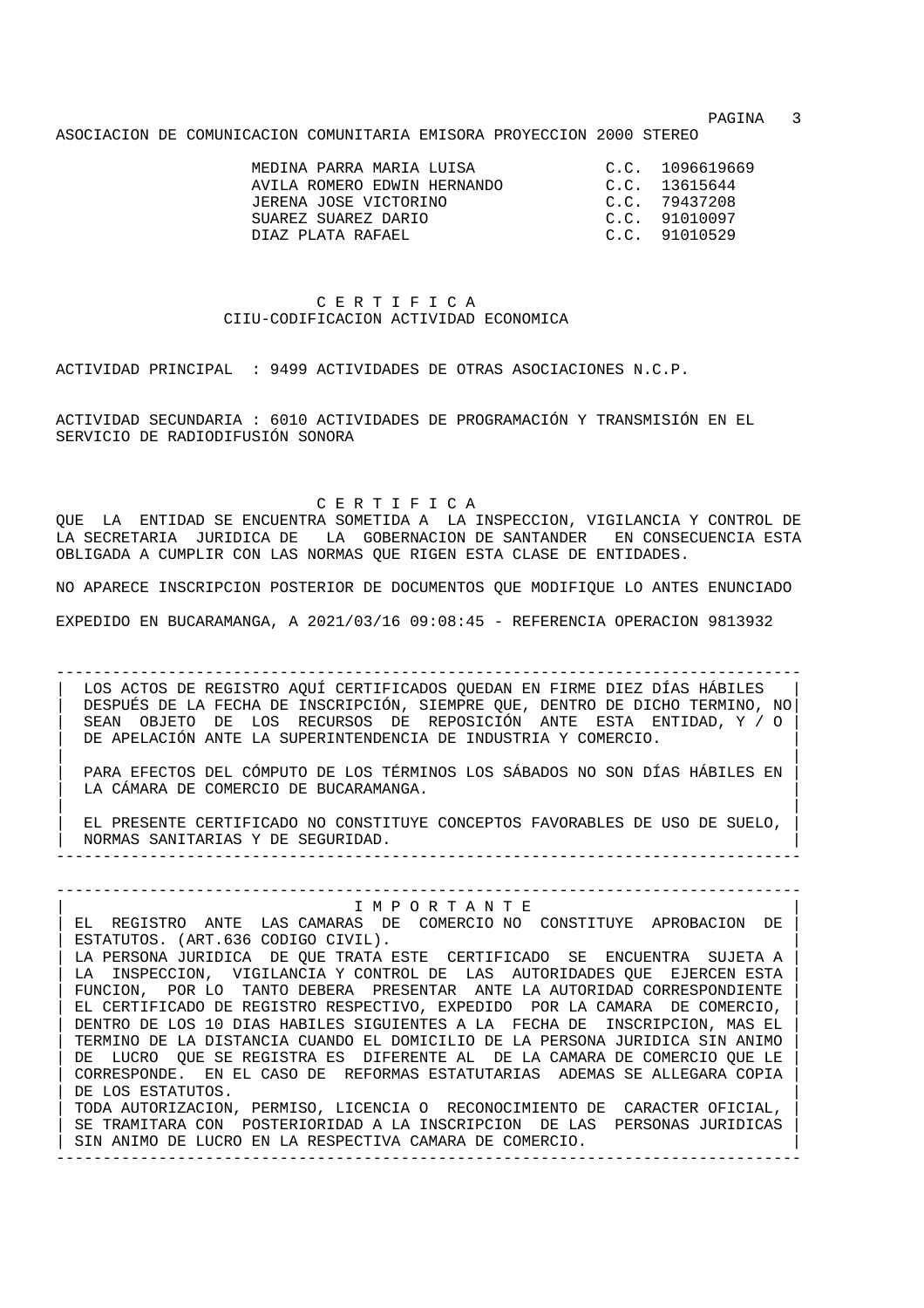experiment of the state of the state of the state of the state of the state of the state of the state of the state of the state of the state of the state of the state of the state of the state of the state of the state of

ASOCIACION DE COMUNICACION COMUNITARIA EMISORA PROYECCION 2000 STEREO

| MEDINA PARRA MARIA LUISA<br>AVILA ROMERO EDWIN HERNANDO<br>JERENA JOSE VICTORINO<br>SUAREZ SUAREZ DARIO | C.C. 1096619669<br>C.C. 13615644<br>C.C. 79437208<br>C.C. 91010097 |
|---------------------------------------------------------------------------------------------------------|--------------------------------------------------------------------|
| DIAZ PLATA RAFARI.                                                                                      | C.C. 91010529                                                      |

# C E R T I F I C A CIIU-CODIFICACION ACTIVIDAD ECONOMICA

ACTIVIDAD PRINCIPAL : 9499 ACTIVIDADES DE OTRAS ASOCIACIONES N.C.P.

ACTIVIDAD SECUNDARIA : 6010 ACTIVIDADES DE PROGRAMACIÓN Y TRANSMISIÓN EN EL SERVICIO DE RADIODIFUSIÓN SONORA

C E R T I F I C A

QUE LA ENTIDAD SE ENCUENTRA SOMETIDA A LA INSPECCION, VIGILANCIA Y CONTROL DE LA SECRETARIA JURIDICA DE LA GOBERNACION DE SANTANDER EN CONSECUENCIA ESTA OBLIGADA A CUMPLIR CON LAS NORMAS QUE RIGEN ESTA CLASE DE ENTIDADES.

NO APARECE INSCRIPCION POSTERIOR DE DOCUMENTOS QUE MODIFIQUE LO ANTES ENUNCIADO

EXPEDIDO EN BUCARAMANGA, A 2021/03/16 09:08:45 - REFERENCIA OPERACION 9813932

-------------------------------------------------------------------------------- LOS ACTOS DE REGISTRO AQUÍ CERTIFICADOS QUEDAN EN FIRME DIEZ DÍAS HÁBILES | DESPUÉS DE LA FECHA DE INSCRIPCIÓN, SIEMPRE QUE, DENTRO DE DICHO TERMINO, NO| | SEAN OBJETO DE LOS RECURSOS DE REPOSICIÓN ANTE ESTA ENTIDAD, Y / O | DE APELACIÓN ANTE LA SUPERINTENDENCIA DE INDUSTRIA Y COMERCIO.

| | | PARA EFECTOS DEL CÓMPUTO DE LOS TÉRMINOS LOS SÁBADOS NO SON DÍAS HÁBILES EN | LA CÁMARA DE COMERCIO DE BUCARAMANGA.

| | | EL PRESENTE CERTIFICADO NO CONSTITUYE CONCEPTOS FAVORABLES DE USO DE SUELO, | | NORMAS SANITARIAS Y DE SEGURIDAD. | --------------------------------------------------------------------------------

## -------------------------------------------------------------------------------- | I M P O R T A N T E | EL REGISTRO ANTE LAS CAMARAS DE COMERCIO NO CONSTITUYE APROBACION DE

ESTATUTOS. (ART.636 CODIGO CIVIL). LA PERSONA JURIDICA DE QUE TRATA ESTE CERTIFICADO SE ENCUENTRA SUJETA A LA INSPECCION, VIGILANCIA Y CONTROL DE LAS AUTORIDADES QUE EJERCEN ESTA FUNCION, POR LO TANTO DEBERA PRESENTAR ANTE LA AUTORIDAD CORRESPONDIENTE | EL CERTIFICADO DE REGISTRO RESPECTIVO, EXPEDIDO POR LA CAMARA DE COMERCIO, | | DENTRO DE LOS 10 DIAS HABILES SIGUIENTES A LA FECHA DE INSCRIPCION, MAS EL | | TERMINO DE LA DISTANCIA CUANDO EL DOMICILIO DE LA PERSONA JURIDICA SIN ANIMO | | DE LUCRO QUE SE REGISTRA ES DIFERENTE AL DE LA CAMARA DE COMERCIO QUE LE | | CORRESPONDE. EN EL CASO DE REFORMAS ESTATUTARIAS ADEMAS SE ALLEGARA COPIA | DE LOS ESTATUTOS. | TODA AUTORIZACION, PERMISO, LICENCIA O RECONOCIMIENTO DE CARACTER OFICIAL, | SE TRAMITARA CON POSTERIORIDAD A LA INSCRIPCION DE LAS PERSONAS JURIDICAS SIN ANIMO DE LUCRO EN LA RESPECTIVA CAMARA DE COMERCIO.

--------------------------------------------------------------------------------